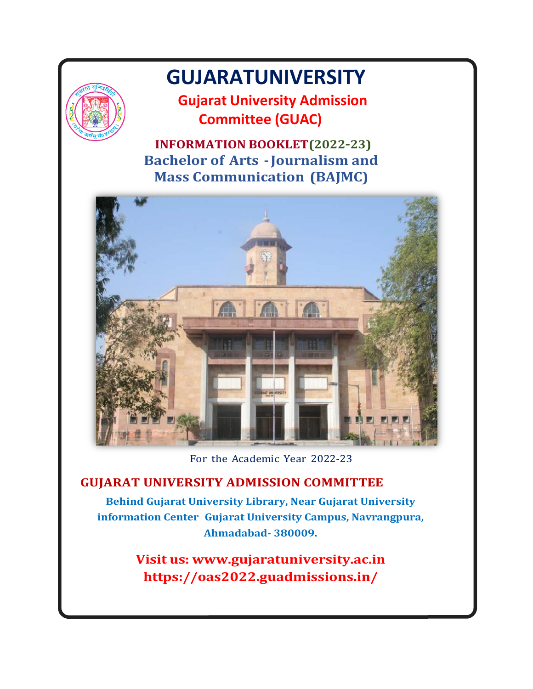

# GUJARATUNIVERSITY

 Gujarat University Admission Committee (GUAC)

 INFORMATION BOOKLET(2022–23) GUJARATUNIVERSITY<br>
Gujarat University Admission<br>
Committee (GUAC)<br>
INFORMATION BOOKLET(2022-23)<br>
Bachelor of Arts - Journalism and<br>
Mass Communication (BAJMC) Mass Communication (BAJMC)



For the Academic Year 2022-23

### GUJARAT UNIVERSITY ADMISSION COMMITTEE

Behind Gujarat University Library, Near Gujarat University information Center Gujarat University Campus, Navrangpura, Ahmadabad- 380009.

> Visit us: www.gujaratuniversity.ac.in https://oas2022.guadmissions.in/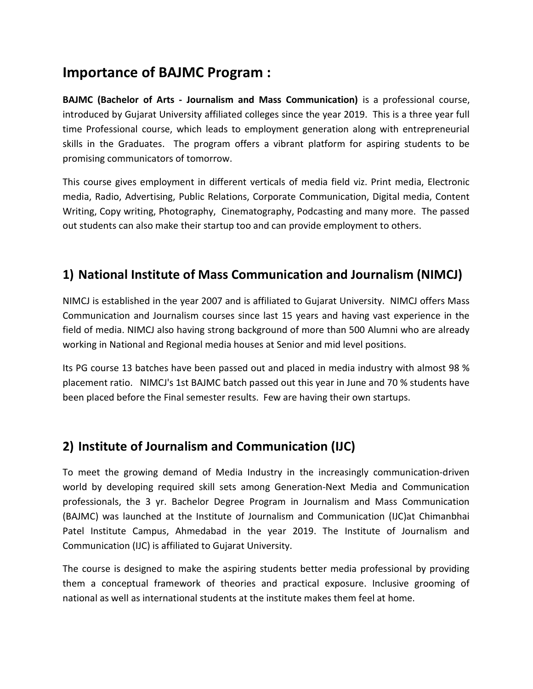# Importance of BAJMC Program :

BAJMC (Bachelor of Arts - Journalism and Mass Communication) is a professional course, introduced by Gujarat University affiliated colleges since the year 2019. This is a three year full time Professional course, which leads to employment generation along with entrepreneurial skills in the Graduates. The program offers a vibrant platform for aspiring students to be promising communicators of tomorrow.

This course gives employment in different verticals of media field viz. Print media, Electronic media, Radio, Advertising, Public Relations, Corporate Communication, Digital media, Content Writing, Copy writing, Photography, Cinematography, Podcasting and many more. The passed out students can also make their startup too and can provide employment to others.

## 1) National Institute of Mass Communication and Journalism (NIMCJ)

NIMCJ is established in the year 2007 and is affiliated to Gujarat University. NIMCJ offers Mass Communication and Journalism courses since last 15 years and having vast experience in the field of media. NIMCJ also having strong background of more than 500 Alumni who are already working in National and Regional media houses at Senior and mid level positions.

Its PG course 13 batches have been passed out and placed in media industry with almost 98 % placement ratio. NIMCJ's 1st BAJMC batch passed out this year in June and 70 % students have been placed before the Final semester results. Few are having their own startups.

### 2) Institute of Journalism and Communication (IJC)

To meet the growing demand of Media Industry in the increasingly communication-driven world by developing required skill sets among Generation-Next Media and Communication professionals, the 3 yr. Bachelor Degree Program in Journalism and Mass Communication (BAJMC) was launched at the Institute of Journalism and Communication (IJC)at Chimanbhai Patel Institute Campus, Ahmedabad in the year 2019. The Institute of Journalism and Communication (IJC) is affiliated to Gujarat University.

The course is designed to make the aspiring students better media professional by providing them a conceptual framework of theories and practical exposure. Inclusive grooming of national as well as international students at the institute makes them feel at home.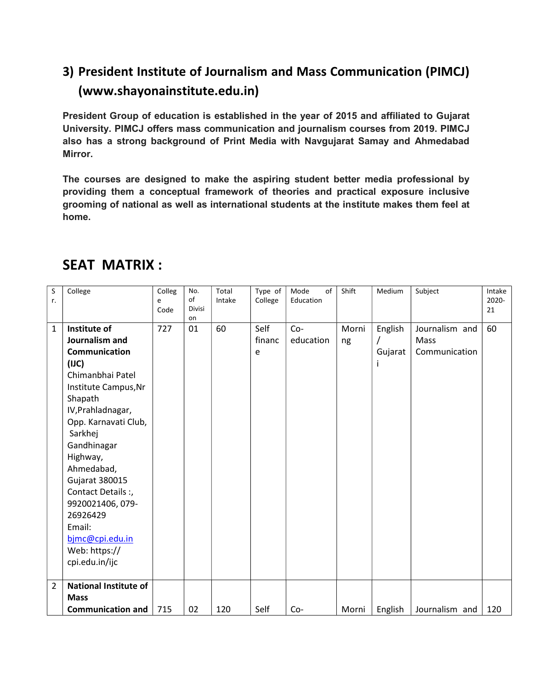# 3) President Institute of Journalism and Mass Communication (PIMCJ) (www.shayonainstitute.edu.in)

President Group of education is established in the year of 2015 and affiliated to Gujarat University. PIMCJ offers mass communication and journalism courses from 2019. PIMCJ also has a strong background of Print Media with Navgujarat Samay and Ahmedabad Mirror.

The courses are designed to make the aspiring student better media professional by providing them a conceptual framework of theories and practical exposure inclusive grooming of national as well as international students at the institute makes them feel at home.

| S<br>r.        | College                                                                                                                                                                                                                                                                                                                                                              | Colleg<br>e<br>Code | No.<br>of<br><b>Divisi</b><br>on | Total<br>Intake | Type of<br>College  | of<br>Mode<br>Education | Shift       | Medium             | Subject                                 | Intake<br>2020-<br>21 |
|----------------|----------------------------------------------------------------------------------------------------------------------------------------------------------------------------------------------------------------------------------------------------------------------------------------------------------------------------------------------------------------------|---------------------|----------------------------------|-----------------|---------------------|-------------------------|-------------|--------------------|-----------------------------------------|-----------------------|
| $\mathbf{1}$   | Institute of<br>Journalism and<br><b>Communication</b><br>(III)<br>Chimanbhai Patel<br>Institute Campus, Nr<br>Shapath<br>IV, Prahladnagar,<br>Opp. Karnavati Club,<br>Sarkhej<br>Gandhinagar<br>Highway,<br>Ahmedabad,<br><b>Gujarat 380015</b><br>Contact Details:<br>9920021406, 079-<br>26926429<br>Email:<br>bjmc@cpi.edu.in<br>Web: https://<br>cpi.edu.in/ijc | 727                 | 01                               | 60              | Self<br>financ<br>e | $Co-$<br>education      | Morni<br>ng | English<br>Gujarat | Journalism and<br>Mass<br>Communication | 60                    |
| $\overline{2}$ | <b>National Institute of</b><br><b>Mass</b><br><b>Communication and</b>                                                                                                                                                                                                                                                                                              | 715                 | 02                               | 120             | Self                | $Co-$                   | Morni       | English            | Journalism and                          | 120                   |

# SEAT MATRIX :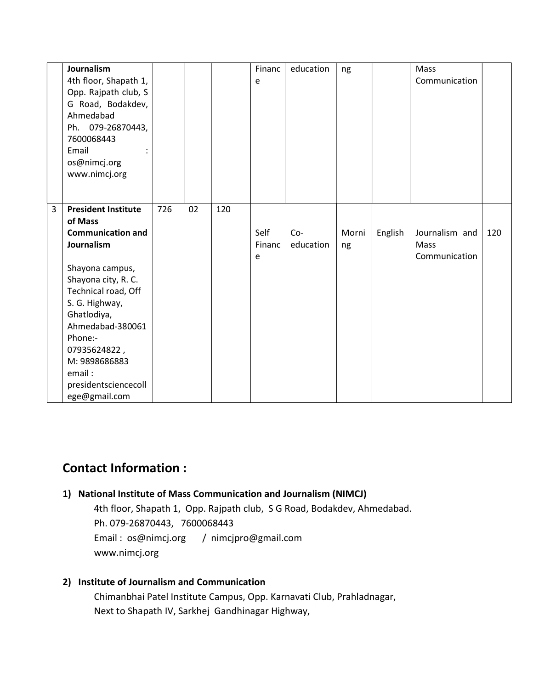|   | Journalism                 |     |    |     | Financ | education | ng    |         | Mass           |     |
|---|----------------------------|-----|----|-----|--------|-----------|-------|---------|----------------|-----|
|   | 4th floor, Shapath 1,      |     |    |     | e      |           |       |         | Communication  |     |
|   | Opp. Rajpath club, S       |     |    |     |        |           |       |         |                |     |
|   | G Road, Bodakdev,          |     |    |     |        |           |       |         |                |     |
|   | Ahmedabad                  |     |    |     |        |           |       |         |                |     |
|   | Ph. 079-26870443,          |     |    |     |        |           |       |         |                |     |
|   | 7600068443                 |     |    |     |        |           |       |         |                |     |
|   | Email                      |     |    |     |        |           |       |         |                |     |
|   | os@nimcj.org               |     |    |     |        |           |       |         |                |     |
|   | www.nimcj.org              |     |    |     |        |           |       |         |                |     |
|   |                            |     |    |     |        |           |       |         |                |     |
|   |                            |     |    |     |        |           |       |         |                |     |
| 3 | <b>President Institute</b> | 726 | 02 | 120 |        |           |       |         |                |     |
|   | of Mass                    |     |    |     |        |           |       |         |                |     |
|   | <b>Communication and</b>   |     |    |     | Self   | $Co-$     | Morni | English | Journalism and | 120 |
|   | Journalism                 |     |    |     | Financ | education | ng    |         | Mass           |     |
|   |                            |     |    |     | e      |           |       |         | Communication  |     |
|   | Shayona campus,            |     |    |     |        |           |       |         |                |     |
|   | Shayona city, R. C.        |     |    |     |        |           |       |         |                |     |
|   | Technical road, Off        |     |    |     |        |           |       |         |                |     |
|   | S. G. Highway,             |     |    |     |        |           |       |         |                |     |
|   | Ghatlodiya,                |     |    |     |        |           |       |         |                |     |
|   | Ahmedabad-380061           |     |    |     |        |           |       |         |                |     |
|   | Phone:-                    |     |    |     |        |           |       |         |                |     |
|   | 07935624822,               |     |    |     |        |           |       |         |                |     |
|   | M: 9898686883              |     |    |     |        |           |       |         |                |     |
|   | email:                     |     |    |     |        |           |       |         |                |     |
|   | presidentsciencecoll       |     |    |     |        |           |       |         |                |     |
|   | ege@gmail.com              |     |    |     |        |           |       |         |                |     |

### Contact Information :

#### 1) National Institute of Mass Communication and Journalism (NIMCJ)

 4th floor, Shapath 1, Opp. Rajpath club, S G Road, Bodakdev, Ahmedabad. Ph. 079-26870443, 7600068443 Email : os@nimcj.org / nimcjpro@gmail.com www.nimcj.org

#### 2) Institute of Journalism and Communication

 Chimanbhai Patel Institute Campus, Opp. Karnavati Club, Prahladnagar, Next to Shapath IV, Sarkhej Gandhinagar Highway,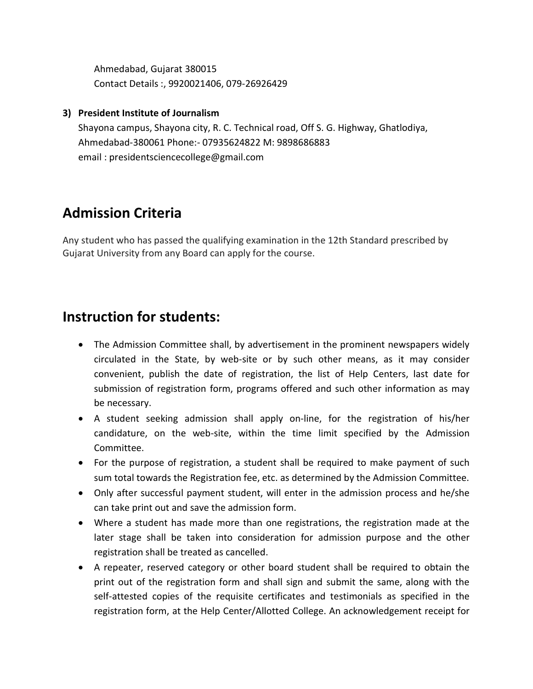Ahmedabad, Gujarat 380015 Contact Details :, 9920021406, 079-26926429

#### 3) President Institute of Journalism

Shayona campus, Shayona city, R. C. Technical road, Off S. G. Highway, Ghatlodiya, Ahmedabad-380061 Phone:- 07935624822 M: 9898686883 email : presidentsciencecollege@gmail.com

# Admission Criteria

Any student who has passed the qualifying examination in the 12th Standard prescribed by Gujarat University from any Board can apply for the course.

## Instruction for students:

- The Admission Committee shall, by advertisement in the prominent newspapers widely circulated in the State, by web-site or by such other means, as it may consider convenient, publish the date of registration, the list of Help Centers, last date for submission of registration form, programs offered and such other information as may be necessary.
- A student seeking admission shall apply on-line, for the registration of his/her candidature, on the web-site, within the time limit specified by the Admission Committee.
- For the purpose of registration, a student shall be required to make payment of such sum total towards the Registration fee, etc. as determined by the Admission Committee.
- Only after successful payment student, will enter in the admission process and he/she can take print out and save the admission form.
- Where a student has made more than one registrations, the registration made at the later stage shall be taken into consideration for admission purpose and the other registration shall be treated as cancelled.
- A repeater, reserved category or other board student shall be required to obtain the print out of the registration form and shall sign and submit the same, along with the self-attested copies of the requisite certificates and testimonials as specified in the registration form, at the Help Center/Allotted College. An acknowledgement receipt for